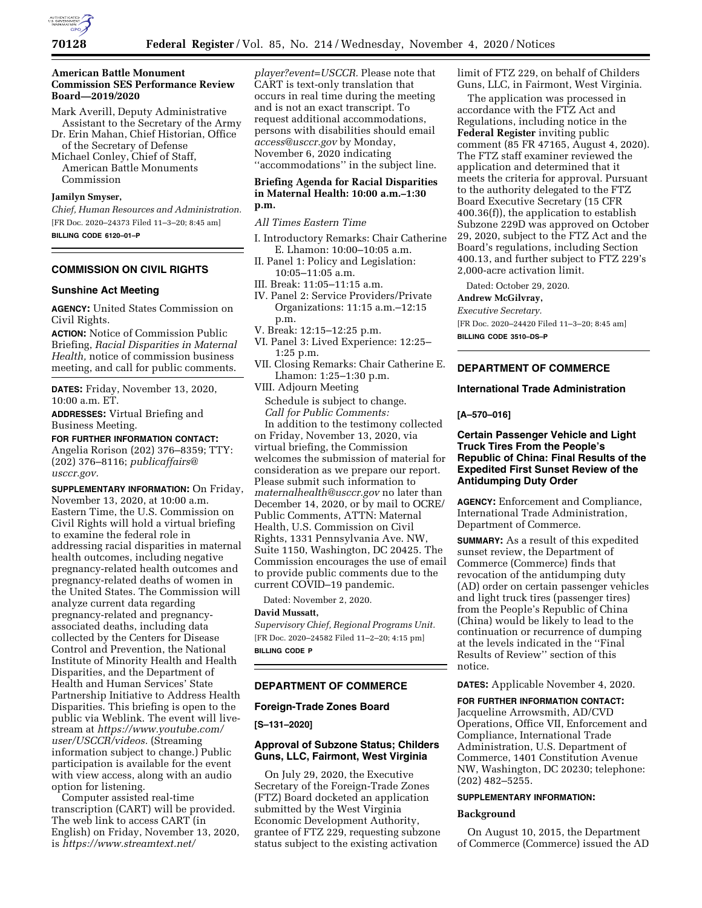

## **American Battle Monument Commission SES Performance Review Board—2019/2020**

Mark Averill, Deputy Administrative Assistant to the Secretary of the Army

Dr. Erin Mahan, Chief Historian, Office of the Secretary of Defense

Michael Conley, Chief of Staff, American Battle Monuments Commission

# **Jamilyn Smyser,**

*Chief, Human Resources and Administration.*  [FR Doc. 2020–24373 Filed 11–3–20; 8:45 am] **BILLING CODE 6120–01–P** 

# **COMMISSION ON CIVIL RIGHTS**

#### **Sunshine Act Meeting**

**AGENCY:** United States Commission on Civil Rights.

**ACTION:** Notice of Commission Public Briefing, *Racial Disparities in Maternal Health,* notice of commission business meeting, and call for public comments.

**DATES:** Friday, November 13, 2020, 10:00 a.m. ET.

**ADDRESSES:** Virtual Briefing and Business Meeting.

**FOR FURTHER INFORMATION CONTACT:**  Angelia Rorison (202) 376–8359; TTY: (202) 376–8116; *[publicaffairs@](mailto:publicaffairs@usccr.gov) [usccr.gov.](mailto:publicaffairs@usccr.gov)* 

**SUPPLEMENTARY INFORMATION:** On Friday, November 13, 2020, at 10:00 a.m. Eastern Time, the U.S. Commission on Civil Rights will hold a virtual briefing to examine the federal role in addressing racial disparities in maternal health outcomes, including negative pregnancy-related health outcomes and pregnancy-related deaths of women in the United States. The Commission will analyze current data regarding pregnancy-related and pregnancyassociated deaths, including data collected by the Centers for Disease Control and Prevention, the National Institute of Minority Health and Health Disparities, and the Department of Health and Human Services' State Partnership Initiative to Address Health Disparities. This briefing is open to the public via Weblink. The event will livestream at *[https://www.youtube.com/](https://www.youtube.com/user/USCCR/videos) [user/USCCR/videos.](https://www.youtube.com/user/USCCR/videos)* (Streaming information subject to change.) Public participation is available for the event with view access, along with an audio option for listening.

Computer assisted real-time transcription (CART) will be provided. The web link to access CART (in English) on Friday, November 13, 2020, is *[https://www.streamtext.net/](https://www.streamtext.net/player?event=USCCR)* 

*[player?event=USCCR.](https://www.streamtext.net/player?event=USCCR)* Please note that CART is text-only translation that occurs in real time during the meeting and is not an exact transcript. To request additional accommodations, persons with disabilities should email *[access@usccr.gov](mailto:access@usccr.gov)* by Monday, November 6, 2020 indicating ''accommodations'' in the subject line.

### **Briefing Agenda for Racial Disparities in Maternal Health: 10:00 a.m.–1:30 p.m.**

*All Times Eastern Time* 

- I. Introductory Remarks: Chair Catherine E. Lhamon: 10:00–10:05 a.m.
- II. Panel 1: Policy and Legislation: 10:05–11:05 a.m.
- III. Break: 11:05–11:15 a.m.
- IV. Panel 2: Service Providers/Private Organizations: 11:15 a.m.–12:15 p.m.
- V. Break: 12:15–12:25 p.m.
- VI. Panel 3: Lived Experience: 12:25– 1:25 p.m.
- VII. Closing Remarks: Chair Catherine E. Lhamon: 1:25–1:30 p.m.

VIII. Adjourn Meeting

Schedule is subject to change. *Call for Public Comments:* 

In addition to the testimony collected on Friday, November 13, 2020, via virtual briefing, the Commission welcomes the submission of material for consideration as we prepare our report. Please submit such information to *[maternalhealth@usccr.gov](mailto:maternalhealth@usccr.gov)* no later than December 14, 2020, or by mail to OCRE/ Public Comments, ATTN: Maternal Health, U.S. Commission on Civil Rights, 1331 Pennsylvania Ave. NW, Suite 1150, Washington, DC 20425. The Commission encourages the use of email to provide public comments due to the current COVID–19 pandemic.

Dated: November 2, 2020.

## **David Mussatt,**

*Supervisory Chief, Regional Programs Unit.*  [FR Doc. 2020–24582 Filed 11–2–20; 4:15 pm] **BILLING CODE P** 

# **DEPARTMENT OF COMMERCE**

### **Foreign-Trade Zones Board**

**[S–131–2020]** 

# **Approval of Subzone Status; Childers Guns, LLC, Fairmont, West Virginia**

On July 29, 2020, the Executive Secretary of the Foreign-Trade Zones (FTZ) Board docketed an application submitted by the West Virginia Economic Development Authority, grantee of FTZ 229, requesting subzone status subject to the existing activation

limit of FTZ 229, on behalf of Childers Guns, LLC, in Fairmont, West Virginia.

The application was processed in accordance with the FTZ Act and Regulations, including notice in the **Federal Register** inviting public comment (85 FR 47165, August 4, 2020). The FTZ staff examiner reviewed the application and determined that it meets the criteria for approval. Pursuant to the authority delegated to the FTZ Board Executive Secretary (15 CFR 400.36(f)), the application to establish Subzone 229D was approved on October 29, 2020, subject to the FTZ Act and the Board's regulations, including Section 400.13, and further subject to FTZ 229's 2,000-acre activation limit.

Dated: October 29, 2020.

**Andrew McGilvray,** 

*Executive Secretary.* 

[FR Doc. 2020–24420 Filed 11–3–20; 8:45 am] **BILLING CODE 3510–DS–P** 

#### **DEPARTMENT OF COMMERCE**

#### **International Trade Administration**

#### **[A–570–016]**

# **Certain Passenger Vehicle and Light Truck Tires From the People's Republic of China: Final Results of the Expedited First Sunset Review of the Antidumping Duty Order**

**AGENCY:** Enforcement and Compliance, International Trade Administration, Department of Commerce.

**SUMMARY:** As a result of this expedited sunset review, the Department of Commerce (Commerce) finds that revocation of the antidumping duty (AD) order on certain passenger vehicles and light truck tires (passenger tires) from the People's Republic of China (China) would be likely to lead to the continuation or recurrence of dumping at the levels indicated in the ''Final Results of Review'' section of this notice.

**DATES:** Applicable November 4, 2020.

# **FOR FURTHER INFORMATION CONTACT:**

Jacqueline Arrowsmith, AD/CVD Operations, Office VII, Enforcement and Compliance, International Trade Administration, U.S. Department of Commerce, 1401 Constitution Avenue NW, Washington, DC 20230; telephone: (202) 482–5255.

## **SUPPLEMENTARY INFORMATION:**

#### **Background**

On August 10, 2015, the Department of Commerce (Commerce) issued the AD